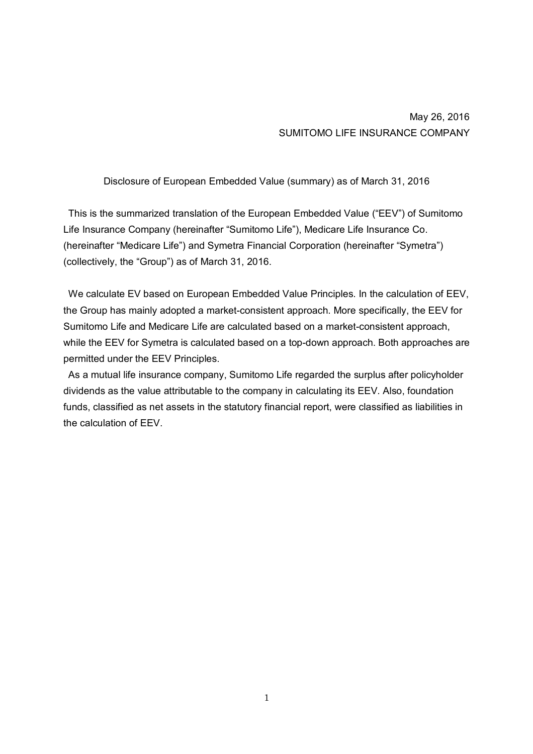## May 26, 2016 SUMITOMO LIFE INSURANCE COMPANY

Disclosure of European Embedded Value (summary) as of March 31, 2016

This is the summarized translation of the European Embedded Value ("EEV") of Sumitomo Life Insurance Company (hereinafter "Sumitomo Life"), Medicare Life Insurance Co. (hereinafter "Medicare Life") and Symetra Financial Corporation (hereinafter "Symetra") (collectively, the "Group") as of March 31, 2016.

We calculate EV based on European Embedded Value Principles. In the calculation of EEV, the Group has mainly adopted a market-consistent approach. More specifically, the EEV for Sumitomo Life and Medicare Life are calculated based on a market-consistent approach, while the EEV for Symetra is calculated based on a top-down approach. Both approaches are permitted under the EEV Principles.

As a mutual life insurance company, Sumitomo Life regarded the surplus after policyholder dividends as the value attributable to the company in calculating its EEV. Also, foundation funds, classified as net assets in the statutory financial report, were classified as liabilities in the calculation of EEV.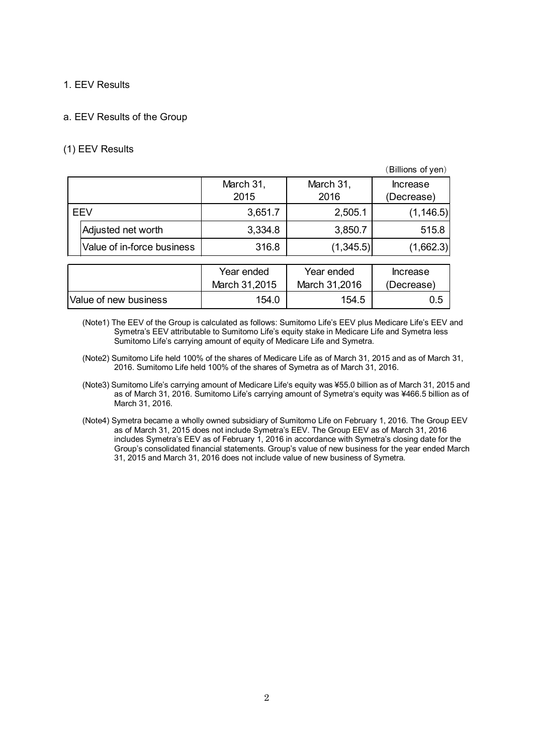### 1. EEV Results

### a. EEV Results of the Group

### (1) EEV Results

|            |                            |               |               | (Billions of yen) |
|------------|----------------------------|---------------|---------------|-------------------|
|            |                            | March 31,     | March 31,     | <b>Increase</b>   |
|            |                            | 2015          | 2016          | (Decrease)        |
| <b>EEV</b> |                            | 3,651.7       | 2,505.1       | (1, 146.5)        |
|            | Adjusted net worth         | 3,334.8       | 3,850.7       | 515.8             |
|            | Value of in-force business | 316.8         | (1,345.5)     | (1,662.3)         |
|            |                            |               |               |                   |
|            |                            | Year ended    | Year ended    | <b>Increase</b>   |
|            |                            | March 31,2015 | March 31,2016 | (Decrease)        |
|            | Value of new business      | 154.0         | 154.5         | 0.5               |

(Note1) The EEV of the Group is calculated as follows: Sumitomo Life's EEV plus Medicare Life's EEV and Symetra's EEV attributable to Sumitomo Life's equity stake in Medicare Life and Symetra less Sumitomo Life's carrying amount of equity of Medicare Life and Symetra.

- (Note2) Sumitomo Life held 100% of the shares of Medicare Life as of March 31, 2015 and as of March 31, 2016. Sumitomo Life held 100% of the shares of Symetra as of March 31, 2016.
- (Note3) Sumitomo Life's carrying amount of Medicare Life's equity was ¥55.0 billion as of March 31, 2015 and as of March 31, 2016. Sumitomo Life's carrying amount of Symetra's equity was ¥466.5 billion as of March 31, 2016.
- (Note4) Symetra became a wholly owned subsidiary of Sumitomo Life on February 1, 2016. The Group EEV as of March 31, 2015 does not include Symetra's EEV. The Group EEV as of March 31, 2016 includes Symetra's EEV as of February 1, 2016 in accordance with Symetra's closing date for the Group's consolidated financial statements. Group's value of new business for the year ended March 31, 2015 and March 31, 2016 does not include value of new business of Symetra.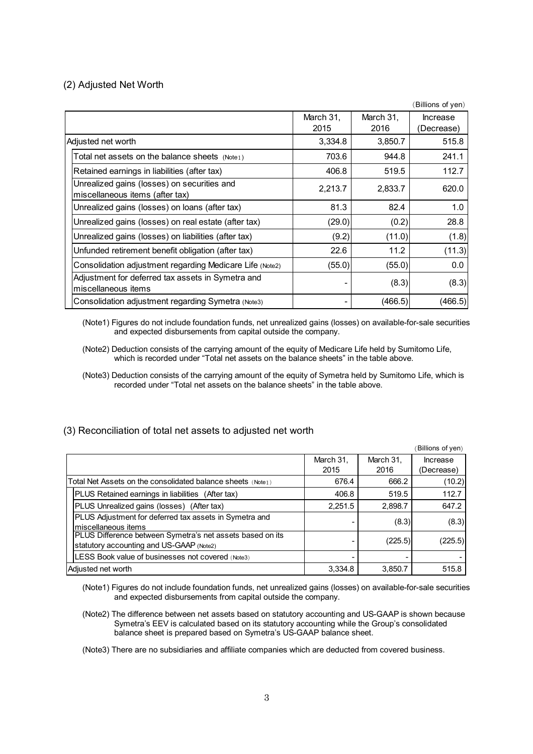### (2) Adjusted Net Worth

|                                                                                |                   |                   | (Billions of yen)             |
|--------------------------------------------------------------------------------|-------------------|-------------------|-------------------------------|
|                                                                                | March 31,<br>2015 | March 31,<br>2016 | <b>Increase</b><br>(Decrease) |
| Adjusted net worth                                                             | 3,334.8           | 3,850.7           | 515.8                         |
| Total net assets on the balance sheets $(Note1)$                               | 703.6             | 944.8             | 241.1                         |
| Retained earnings in liabilities (after tax)                                   | 406.8             | 519.5             | 112.7                         |
| Unrealized gains (losses) on securities and<br>miscellaneous items (after tax) | 2,213.7           | 2,833.7           | 620.0                         |
| Unrealized gains (losses) on loans (after tax)                                 | 81.3              | 82.4              | 1.0                           |
| Unrealized gains (losses) on real estate (after tax)                           | (29.0)            | (0.2)             | 28.8                          |
| Unrealized gains (losses) on liabilities (after tax)                           | (9.2)             | (11.0)            | (1.8)                         |
| Unfunded retirement benefit obligation (after tax)                             | 22.6              | 11.2              | (11.3)                        |
| Consolidation adjustment regarding Medicare Life (Note2)                       | (55.0)            | (55.0)            | 0.0                           |
| Adjustment for deferred tax assets in Symetra and<br>miscellaneous items       |                   | (8.3)             | (8.3)                         |
| Consolidation adjustment regarding Symetra (Note3)                             |                   | (466.5)           | (466.5)                       |

(Note1) Figures do not include foundation funds, net unrealized gains (losses) on available-for-sale securities and expected disbursements from capital outside the company.

- (Note2) Deduction consists of the carrying amount of the equity of Medicare Life held by Sumitomo Life, which is recorded under "Total net assets on the balance sheets" in the table above.
- (Note3) Deduction consists of the carrying amount of the equity of Symetra held by Sumitomo Life, which is recorded under "Total net assets on the balance sheets" in the table above.

|                                                                                                       |                   |                   | (Billions of yen)      |
|-------------------------------------------------------------------------------------------------------|-------------------|-------------------|------------------------|
|                                                                                                       | March 31,<br>2015 | March 31,<br>2016 | Increase<br>(Decrease) |
|                                                                                                       |                   |                   |                        |
| Total Net Assets on the consolidated balance sheets $(\text{Note}_1)$                                 | 676.4             | 666.2             | (10.2)                 |
| PLUS Retained earnings in liabilities (After tax)                                                     | 406.8             | 519.5             | 112.7                  |
| PLUS Unrealized gains (losses) (After tax)                                                            | 2.251.5           | 2,898.7           | 647.2                  |
| PLUS Adjustment for deferred tax assets in Symetra and<br>Imiscellaneous items                        |                   | (8.3)             | (8.3)                  |
| PLUS Difference between Symetra's net assets based on its<br>statutory accounting and US-GAAP (Note2) |                   | (225.5)           | (225.5)                |

### (3) Reconciliation of total net assets to adjusted net worth

LESS Book value of businesses not covered (Note3)

(Note1) Figures do not include foundation funds, net unrealized gains (losses) on available-for-sale securities and expected disbursements from capital outside the company.

Adjusted net worth 615.8 3,334.8 3,334.8 3,850.7 515.8

(Note2) The difference between net assets based on statutory accounting and US-GAAP is shown because Symetra's EEV is calculated based on its statutory accounting while the Group's consolidated balance sheet is prepared based on Symetra's US-GAAP balance sheet.

(Note3) There are no subsidiaries and affiliate companies which are deducted from covered business.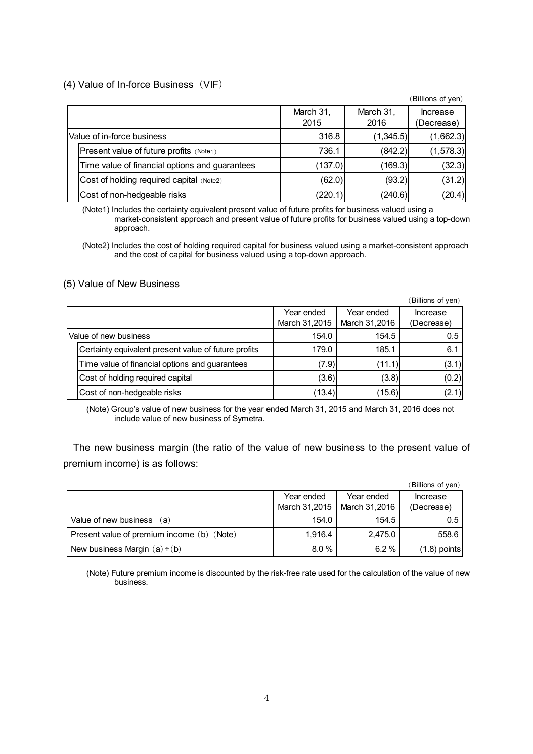### (4) Value of In-force Business (VIF)

|                                                |           |           | (Billions of yen) |
|------------------------------------------------|-----------|-----------|-------------------|
|                                                | March 31, | March 31, | <b>Increase</b>   |
|                                                | 2015      | 2016      | (Decrease)        |
| Value of in-force business                     | 316.8     | (1,345.5) | (1,662.3)         |
| Present value of future profits (Note1)        | 736.1     | (842.2)   | (1,578.3)         |
| Time value of financial options and guarantees | (137.0)   | (169.3)   | (32.3)            |
| Cost of holding required capital (Note2)       | (62.0)    | (93.2)    | (31.2)            |
| Cost of non-hedgeable risks                    | (220.1)   | (240.6)   | (20.4)            |

(Note1) Includes the certainty equivalent present value of future profits for business valued using a market-consistent approach and present value of future profits for business valued using a top-down approach.

(Note2) Includes the cost of holding required capital for business valued using a market-consistent approach and the cost of capital for business valued using a top-down approach.

#### (5) Value of New Business

|                       |                                                      |               |               | (Billions of yen) |
|-----------------------|------------------------------------------------------|---------------|---------------|-------------------|
|                       |                                                      | Year ended    | Year ended    | <b>Increase</b>   |
|                       |                                                      | March 31,2015 | March 31,2016 | (Decrease)        |
| Value of new business |                                                      | 154.0         | 154.5         | 0.5               |
|                       | Certainty equivalent present value of future profits | 179.0         | 185.1         | 6.1               |
|                       | Time value of financial options and guarantees       | (7.9)         | (11.1)        | (3.1)             |
|                       | Cost of holding required capital                     | (3.6)         | (3.8)         | (0.2)             |
|                       | Cost of non-hedgeable risks                          | (13.4)        | (15.6)        | (2.1)             |

(Note) Group's value of new business for the year ended March 31, 2015 and March 31, 2016 does not include value of new business of Symetra.

The new business margin (the ratio of the value of new business to the present value of premium income) is as follows:

|                                            |               |               | (Billions of yen) |
|--------------------------------------------|---------------|---------------|-------------------|
|                                            | Year ended    | Year ended    | <b>Increase</b>   |
|                                            | March 31,2015 | March 31,2016 | (Decrease)        |
| Value of new business<br>(a)               | 154.0         | 154.5         | 0.5               |
| Present value of premium income (b) (Note) | 1.916.4       | 2,475.0       | 558.6             |
| New business Margin $(a) \div (b)$         | 8.0%          | 6.2%          | $(1.8)$ points    |

(Note) Future premium income is discounted by the risk-free rate used for the calculation of the value of new business.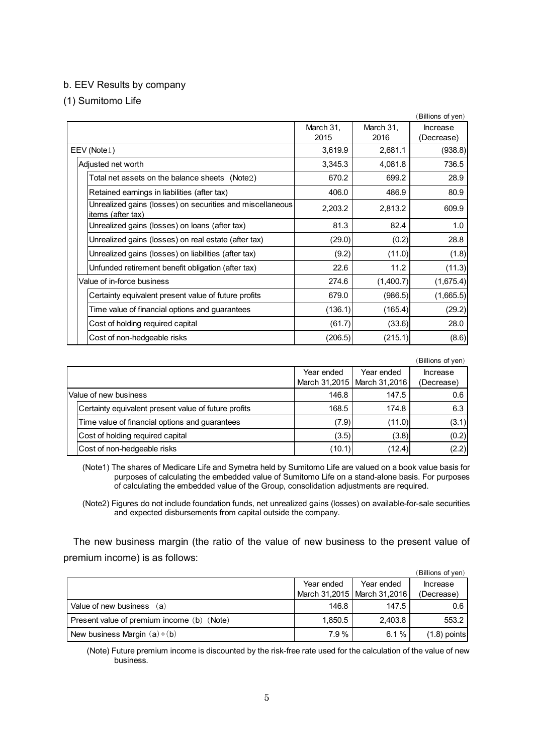### b. EEV Results by company

(1) Sumitomo Life

|                                                                                |           |           | (Billions of yen) |
|--------------------------------------------------------------------------------|-----------|-----------|-------------------|
|                                                                                | March 31, | March 31, | <b>Increase</b>   |
|                                                                                | 2015      | 2016      | (Decrease)        |
| EEV (Note1)                                                                    | 3,619.9   | 2,681.1   | (938.8)           |
| Adjusted net worth                                                             | 3,345.3   | 4,081.8   | 736.5             |
| Total net assets on the balance sheets $(Note2)$                               | 670.2     | 699.2     | 28.9              |
| Retained earnings in liabilities (after tax)                                   | 406.0     | 486.9     | 80.9              |
| Unrealized gains (losses) on securities and miscellaneous<br>items (after tax) | 2,203.2   | 2,813.2   | 609.9             |
| Unrealized gains (losses) on loans (after tax)                                 | 81.3      | 82.4      | 1.0               |
| Unrealized gains (losses) on real estate (after tax)                           | (29.0)    | (0.2)     | 28.8              |
| Unrealized gains (losses) on liabilities (after tax)                           | (9.2)     | (11.0)    | (1.8)             |
| Unfunded retirement benefit obligation (after tax)                             | 22.6      | 11.2      | (11.3)            |
| Value of in-force business                                                     | 274.6     | (1,400.7) | (1,675.4)         |
| Certainty equivalent present value of future profits                           | 679.0     | (986.5)   | (1,665.5)         |
| Time value of financial options and guarantees                                 | (136.1)   | (165.4)   | (29.2)            |
| Cost of holding required capital                                               | (61.7)    | (33.6)    | 28.0              |
| Cost of non-hedgeable risks                                                    | (206.5)   | (215.1)   | (8.6)             |

|                                                      |            |                               | (Billions of yen) |
|------------------------------------------------------|------------|-------------------------------|-------------------|
|                                                      | Year ended | Year ended                    | <b>Increase</b>   |
|                                                      |            | March 31,2015   March 31,2016 | (Decrease)        |
| Value of new business                                | 146.8      | 147.5                         | 0.6               |
| Certainty equivalent present value of future profits | 168.5      | 174.8                         | 6.3               |
| Time value of financial options and guarantees       | (7.9)      | (11.0)                        | (3.1)             |
| Cost of holding required capital                     | (3.5)      | (3.8)                         | (0.2)             |
| Cost of non-hedgeable risks                          | (10.1)     | (12.4)                        | (2.2)             |

(Note1) The shares of Medicare Life and Symetra held by Sumitomo Life are valued on a book value basis for purposes of calculating the embedded value of Sumitomo Life on a stand-alone basis. For purposes of calculating the embedded value of the Group, consolidation adjustments are required.

(Note2) Figures do not include foundation funds, net unrealized gains (losses) on available-for-sale securities and expected disbursements from capital outside the company.

The new business margin (the ratio of the value of new business to the present value of premium income) is as follows:

|                                            |            |                               | (Billions of yen) |
|--------------------------------------------|------------|-------------------------------|-------------------|
|                                            | Year ended | Year ended                    | <b>Increase</b>   |
|                                            |            | March 31,2015   March 31,2016 | (Decrease)        |
| Value of new business (a)                  | 146.8      | 147.5                         | 0.6               |
| Present value of premium income (b) (Note) | 1.850.5    | 2.403.8                       | 553.2             |
| New business Margin $(a) \div (b)$         | 7.9%       | 6.1%                          | $(1.8)$ points    |

(Note) Future premium income is discounted by the risk-free rate used for the calculation of the value of new business.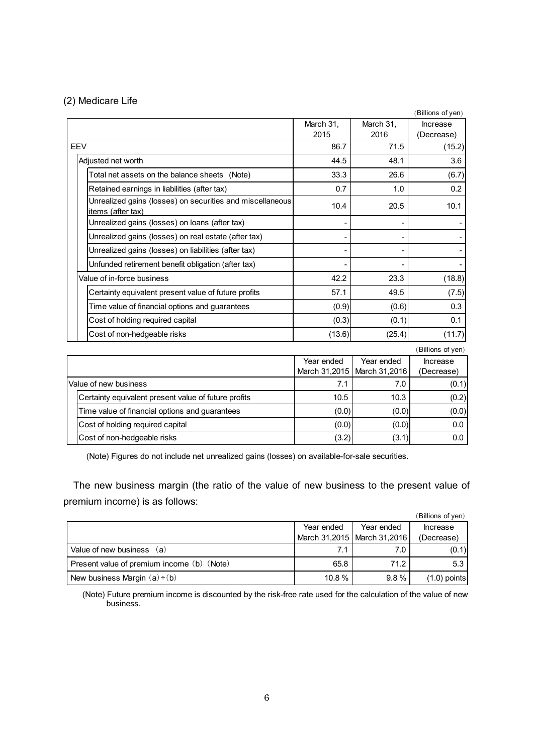### (2) Medicare Life

|                                                                                |                             |                             | (Billions of yen)             |
|--------------------------------------------------------------------------------|-----------------------------|-----------------------------|-------------------------------|
|                                                                                | March 31,                   | March 31,                   | <b>Increase</b>               |
|                                                                                | 2015                        | 2016                        | (Decrease)                    |
| <b>EEV</b>                                                                     | 86.7                        | 71.5                        | (15.2)                        |
| Adjusted net worth                                                             | 44.5                        | 48.1                        | 3.6                           |
| Total net assets on the balance sheets (Note)                                  | 33.3                        | 26.6                        | (6.7)                         |
| Retained earnings in liabilities (after tax)                                   | 0.7                         | 1.0                         | 0.2                           |
| Unrealized gains (losses) on securities and miscellaneous<br>items (after tax) | 10.4                        | 20.5                        | 10.1                          |
| Unrealized gains (losses) on loans (after tax)                                 |                             |                             |                               |
| Unrealized gains (losses) on real estate (after tax)                           |                             |                             |                               |
| Unrealized gains (losses) on liabilities (after tax)                           |                             |                             |                               |
| Unfunded retirement benefit obligation (after tax)                             |                             |                             |                               |
| Value of in-force business                                                     | 42.2                        | 23.3                        | (18.8)                        |
| Certainty equivalent present value of future profits                           | 57.1                        | 49.5                        | (7.5)                         |
| Time value of financial options and guarantees                                 | (0.9)                       | (0.6)                       | 0.3                           |
| Cost of holding required capital                                               | (0.3)                       | (0.1)                       | 0.1                           |
| Cost of non-hedgeable risks                                                    | (13.6)                      | (25.4)                      | (11.7)                        |
|                                                                                |                             |                             | (Billions of yen)             |
|                                                                                | Year ended<br>March 31,2015 | Year ended<br>March 31,2016 | <b>Increase</b><br>(Decrease) |
| Value of new business                                                          | 7.1                         | 7.0                         | (0.1)                         |
| Certainty equivalent present value of future profits                           | 10.5                        | 10.3                        | (0.2)                         |
| Time value of financial options and guarantees                                 | (0.0)                       | (0.0)                       | (0.0)                         |
| Cost of holding required capital                                               | (0.0)                       | (0.0)                       | 0.0                           |

(Note) Figures do not include net unrealized gains (losses) on available-for-sale securities.

The new business margin (the ratio of the value of new business to the present value of premium income) is as follows:

Cost of non-hedgeable risks  $(3.2)$   $(3.1)$   $(3.1)$  0.0

|                                            |            |                               | (Billions of yen) |
|--------------------------------------------|------------|-------------------------------|-------------------|
|                                            | Year ended | Year ended                    | <b>Increase</b>   |
|                                            |            | March 31,2015   March 31,2016 | (Decrease)        |
| Value of new business<br>(a)               | 7.1        | 7.0                           | (0.1)             |
| Present value of premium income (b) (Note) | 65.8       | 71.2                          | 5.3               |
| New business Margin $(a) \div (b)$         | 10.8%      | $9.8\%$                       | $(1.0)$ points    |

(Note) Future premium income is discounted by the risk-free rate used for the calculation of the value of new business.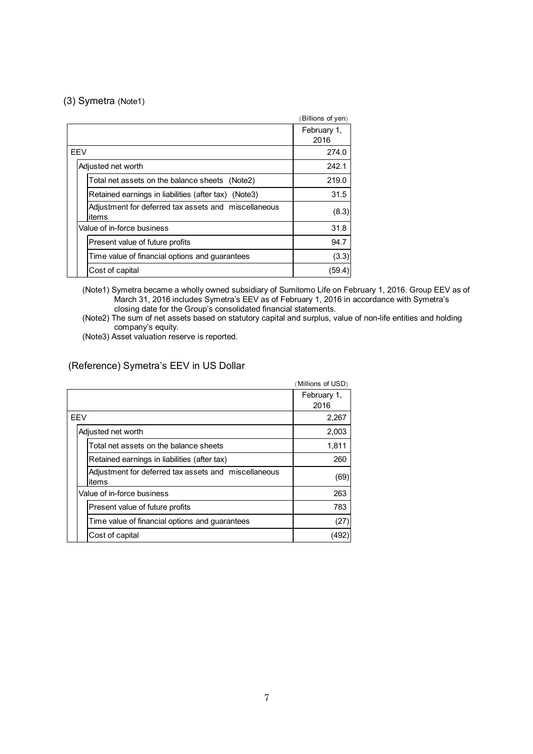#### (3) Symetra (Note1)

|                                                               | (Billions of yen)   |
|---------------------------------------------------------------|---------------------|
|                                                               | February 1,<br>2016 |
| <b>FFV</b>                                                    | 274.0               |
| Adjusted net worth                                            | 242.1               |
| Total net assets on the balance sheets (Note2)                | 219.0               |
| Retained earnings in liabilities (after tax) (Note3)          | 31.5                |
| Adjustment for deferred tax assets and miscellaneous<br>items | (8.3)               |
| Value of in-force business                                    | 31.8                |
| Present value of future profits                               | 94.7                |
| Time value of financial options and guarantees                | (3.3)               |
| Cost of capital                                               | (59.4               |

(Note1) Symetra became a wholly owned subsidiary of Sumitomo Life on February 1, 2016. Group EEV as of March 31, 2016 includes Symetra's EEV as of February 1, 2016 in accordance with Symetra's closing date for the Group's consolidated financial statements.

(Note2) The sum of net assets based on statutory capital and surplus, value of non-life entities and holding company's equity.

(Note3) Asset valuation reserve is reported.

### (Reference) Symetra's EEV in US Dollar

|                                                               | (Millions of USD)   |
|---------------------------------------------------------------|---------------------|
|                                                               | February 1.<br>2016 |
| <b>FFV</b>                                                    | 2,267               |
| Adjusted net worth                                            | 2,003               |
| Total net assets on the balance sheets                        | 1,811               |
| Retained earnings in liabilities (after tax)                  | 260                 |
| Adjustment for deferred tax assets and miscellaneous<br>items | (69)                |
| Value of in-force business                                    | 263                 |
| Present value of future profits                               | 783                 |
| Time value of financial options and guarantees                | (27)                |
| Cost of capital                                               | (492)               |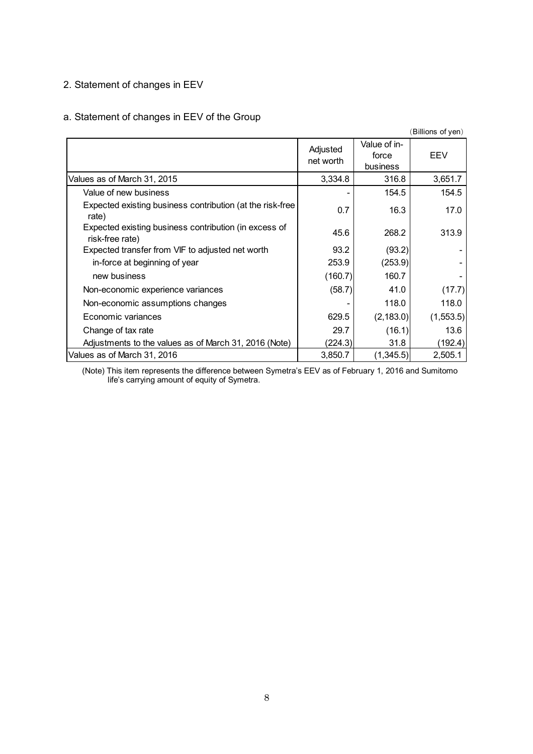## 2. Statement of changes in EEV

# a. Statement of changes in EEV of the Group

|                                                                          |                       |                                   | Billions of yen) |
|--------------------------------------------------------------------------|-----------------------|-----------------------------------|------------------|
|                                                                          | Adjusted<br>net worth | Value of in-<br>force<br>business | EEV              |
| Values as of March 31, 2015                                              | 3,334.8               | 316.8                             | 3,651.7          |
| Value of new business                                                    |                       | 154.5                             | 154.5            |
| Expected existing business contribution (at the risk-free<br>rate)       | 0.7                   | 16.3                              | 17.0             |
| Expected existing business contribution (in excess of<br>risk-free rate) | 45.6                  | 268.2                             | 313.9            |
| Expected transfer from VIF to adjusted net worth                         | 93.2                  | (93.2)                            |                  |
| in-force at beginning of year                                            | 253.9                 | (253.9)                           |                  |
| new business                                                             | (160.7)               | 160.7                             |                  |
| Non-economic experience variances                                        | (58.7)                | 41.0                              | (17.7)           |
| Non-economic assumptions changes                                         |                       | 118.0                             | 118.0            |
| Economic variances                                                       | 629.5                 | (2, 183.0)                        | (1,553.5)        |
| Change of tax rate                                                       | 29.7                  | (16.1)                            | 13.6             |
| Adjustments to the values as of March 31, 2016 (Note)                    | (224.3)               | 31.8                              | (192.4)          |
| Values as of March 31, 2016                                              | 3,850.7               | (1,345.5)                         | 2,505.1          |

(Note) This item represents the difference between Symetra's EEV as of February 1, 2016 and Sumitomo life's carrying amount of equity of Symetra.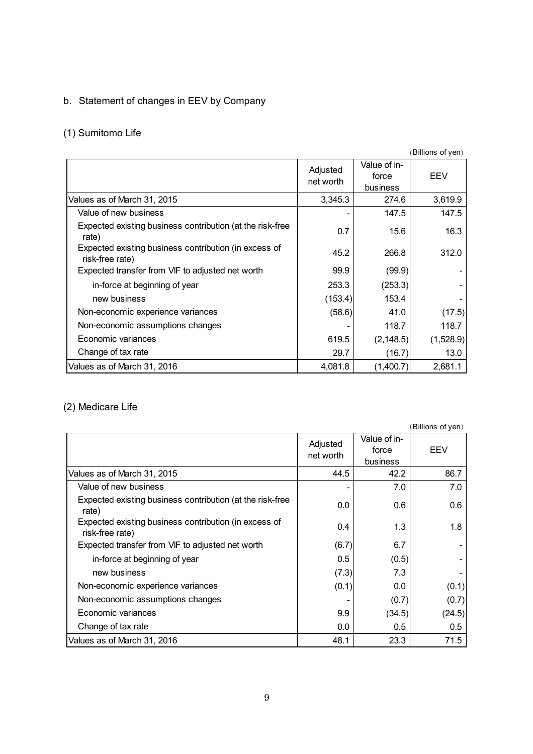# b. Statement of changes in EEV by Company

# (1) Sumitomo Life

|                                                                          |                       |                                   | (Billions of yen) |
|--------------------------------------------------------------------------|-----------------------|-----------------------------------|-------------------|
|                                                                          | Adjusted<br>net worth | Value of in-<br>force<br>business | EEV               |
| Values as of March 31, 2015                                              | 3,345.3               | 274.6                             | 3,619.9           |
| Value of new business                                                    |                       | 147.5                             | 147.5             |
| Expected existing business contribution (at the risk-free<br>rate)       | 0.7                   | 15.6                              | 16.3              |
| Expected existing business contribution (in excess of<br>risk-free rate) | 45.2                  | 266.8                             | 312.0             |
| Expected transfer from VIF to adjusted net worth                         | 99.9                  | (99.9)                            |                   |
| in-force at beginning of year                                            | 253.3                 | (253.3)                           |                   |
| new business                                                             | (153.4)               | 153.4                             |                   |
| Non-economic experience variances                                        | (58.6)                | 41.0                              | (17.5)            |
| Non-economic assumptions changes                                         |                       | 118.7                             | 118.7             |
| Economic variances                                                       | 619.5                 | (2, 148.5)                        | (1,528.9)         |
| Change of tax rate                                                       | 29.7                  | (16.7)                            | 13.0              |
| Values as of March 31, 2016                                              | 4,081.8               | (1,400.7)                         | 2,681.1           |

# (2) Medicare Life

|                                                                          |                       |                                   | (Billions of yen) |
|--------------------------------------------------------------------------|-----------------------|-----------------------------------|-------------------|
|                                                                          | Adjusted<br>net worth | Value of in-<br>force<br>business | EEV               |
| Values as of March 31, 2015                                              | 44.5                  | 42.2                              | 86.7              |
| Value of new business                                                    |                       | 7.0                               | 7.0               |
| Expected existing business contribution (at the risk-free<br>rate)       | 0.0                   | 0.6                               | 0.6               |
| Expected existing business contribution (in excess of<br>risk-free rate) | 0.4                   | 1.3                               | 1.8               |
| Expected transfer from VIF to adjusted net worth                         | (6.7)                 | 6.7                               |                   |
| in-force at beginning of year                                            | 0.5                   | (0.5)                             |                   |
| new business                                                             | (7.3)                 | 7.3                               |                   |
| Non-economic experience variances                                        | (0.1)                 | 0.0                               | (0.1)             |
| Non-economic assumptions changes                                         |                       | (0.7)                             | (0.7)             |
| Economic variances                                                       | 9.9                   | (34.5)                            | (24.5)            |
| Change of tax rate                                                       | 0.0                   | 0.5                               | 0.5               |
| Values as of March 31, 2016                                              | 48.1                  | 23.3                              | 71.5              |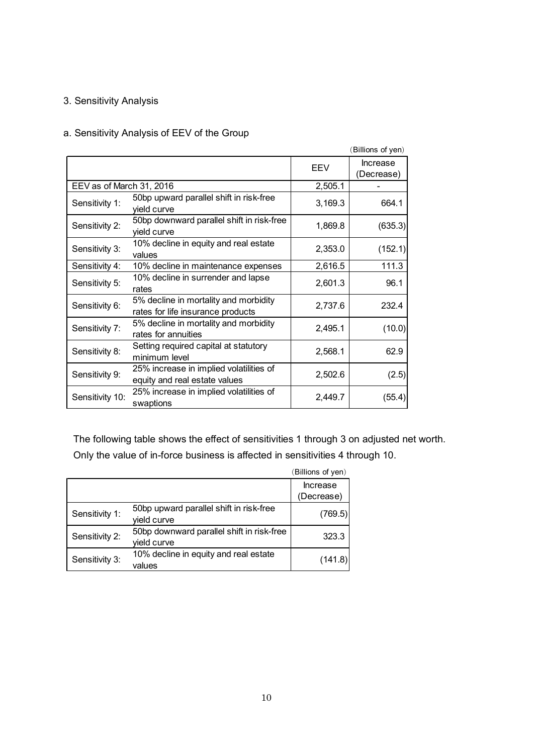### 3. Sensitivity Analysis

### a. Sensitivity Analysis of EEV of the Group

|                          |                                                                            |         | (Billions of yen)             |
|--------------------------|----------------------------------------------------------------------------|---------|-------------------------------|
|                          |                                                                            | EEV     | <b>Increase</b><br>(Decrease) |
| EEV as of March 31, 2016 |                                                                            | 2,505.1 |                               |
| Sensitivity 1:           | 50bp upward parallel shift in risk-free<br>yield curve                     | 3,169.3 | 664.1                         |
| Sensitivity 2:           | 50bp downward parallel shift in risk-free<br>yield curve                   | 1,869.8 | (635.3)                       |
| Sensitivity 3:           | 10% decline in equity and real estate<br>values                            | 2,353.0 | (152.1)                       |
| Sensitivity 4:           | 10% decline in maintenance expenses                                        | 2,616.5 | 111.3                         |
| Sensitivity 5:           | 10% decline in surrender and lapse<br>rates                                | 2,601.3 | 96.1                          |
| Sensitivity 6:           | 5% decline in mortality and morbidity<br>rates for life insurance products | 2,737.6 | 232.4                         |
| Sensitivity 7:           | 5% decline in mortality and morbidity<br>rates for annuities               | 2,495.1 | (10.0)                        |
| Sensitivity 8:           | Setting required capital at statutory<br>minimum level                     | 2,568.1 | 62.9                          |
| Sensitivity 9:           | 25% increase in implied volatilities of<br>equity and real estate values   | 2,502.6 | (2.5)                         |
| Sensitivity 10:          | 25% increase in implied volatilities of<br>swaptions                       | 2,449.7 | (55.4)                        |

The following table shows the effect of sensitivities 1 through 3 on adjusted net worth. Only the value of in-force business is affected in sensitivities 4 through 10.

|                |                                                          | (Billions of yen) |
|----------------|----------------------------------------------------------|-------------------|
|                |                                                          | Increase          |
|                |                                                          | (Decrease)        |
| Sensitivity 1: | 50bp upward parallel shift in risk-free                  | (769.5)           |
|                | yield curve                                              |                   |
| Sensitivity 2: | 50bp downward parallel shift in risk-free<br>yield curve | 323.3             |
|                |                                                          |                   |
| Sensitivity 3: | 10% decline in equity and real estate<br>values          | (141.8)           |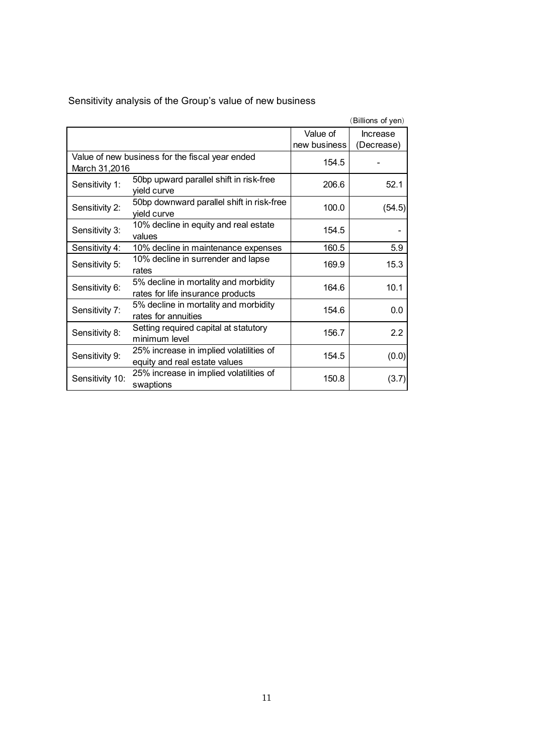|                 |                                                 |              | (Billions of yen) |
|-----------------|-------------------------------------------------|--------------|-------------------|
|                 |                                                 | Value of     | <b>Increase</b>   |
|                 |                                                 | new business | (Decrease)        |
|                 | Value of new business for the fiscal year ended | 154.5        |                   |
| March 31,2016   |                                                 |              |                   |
| Sensitivity 1:  | 50bp upward parallel shift in risk-free         | 206.6        | 52.1              |
|                 | yield curve                                     |              |                   |
| Sensitivity 2:  | 50bp downward parallel shift in risk-free       | 100.0        | (54.5)            |
|                 | yield curve                                     |              |                   |
|                 | 10% decline in equity and real estate           | 154.5        |                   |
| Sensitivity 3:  | values                                          |              |                   |
| Sensitivity 4:  | 10% decline in maintenance expenses             | 160.5        | 5.9               |
| Sensitivity 5:  | 10% decline in surrender and lapse              | 169.9        | 15.3              |
|                 | rates                                           |              |                   |
| Sensitivity 6:  | 5% decline in mortality and morbidity           | 164.6        | 10.1              |
|                 | rates for life insurance products               |              |                   |
| Sensitivity 7:  | 5% decline in mortality and morbidity           | 154.6        | 0.0               |
|                 | rates for annuities                             |              |                   |
|                 | Setting required capital at statutory           | 156.7        | 2.2               |
| Sensitivity 8:  | minimum level                                   |              |                   |
| Sensitivity 9:  | 25% increase in implied volatilities of         | 154.5        |                   |
|                 | equity and real estate values                   |              | (0.0)             |
| Sensitivity 10: | 25% increase in implied volatilities of         |              |                   |
|                 | swaptions                                       | 150.8        | (3.7)             |

Sensitivity analysis of the Group's value of new business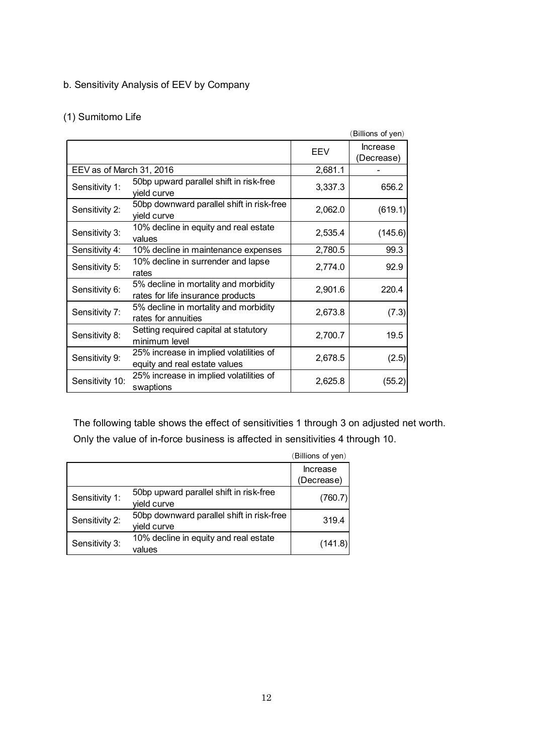# b. Sensitivity Analysis of EEV by Company

# (1) Sumitomo Life

|                          |                                                                            |         | (Billions of yen)      |
|--------------------------|----------------------------------------------------------------------------|---------|------------------------|
|                          |                                                                            | EEV     | Increase<br>(Decrease) |
| EEV as of March 31, 2016 |                                                                            | 2,681.1 |                        |
| Sensitivity 1:           | 50bp upward parallel shift in risk-free<br>yield curve                     | 3,337.3 | 656.2                  |
| Sensitivity 2:           | 50bp downward parallel shift in risk-free<br>yield curve                   | 2,062.0 | (619.1)                |
| Sensitivity 3:           | 10% decline in equity and real estate<br>values                            | 2,535.4 | (145.6)                |
| Sensitivity 4:           | 10% decline in maintenance expenses                                        | 2,780.5 | 99.3                   |
| Sensitivity 5:           | 10% decline in surrender and lapse<br>rates                                | 2,774.0 | 92.9                   |
| Sensitivity 6:           | 5% decline in mortality and morbidity<br>rates for life insurance products | 2,901.6 | 220.4                  |
| Sensitivity 7:           | 5% decline in mortality and morbidity<br>rates for annuities               | 2,673.8 | (7.3)                  |
| Sensitivity 8:           | Setting required capital at statutory<br>minimum level                     | 2,700.7 | 19.5                   |
| Sensitivity 9:           | 25% increase in implied volatilities of<br>equity and real estate values   | 2,678.5 | (2.5)                  |
| Sensitivity 10:          | 25% increase in implied volatilities of<br>swaptions                       | 2,625.8 | (55.2)                 |

The following table shows the effect of sensitivities 1 through 3 on adjusted net worth. Only the value of in-force business is affected in sensitivities 4 through 10.

|                |                                           | (Billions of yen) |
|----------------|-------------------------------------------|-------------------|
|                |                                           | Increase          |
|                |                                           | (Decrease)        |
| Sensitivity 1: | 50bp upward parallel shift in risk-free   | (760.7)           |
|                | vield curve                               |                   |
| Sensitivity 2: | 50bp downward parallel shift in risk-free | 319.4             |
|                | yield curve                               |                   |
| Sensitivity 3: | 10% decline in equity and real estate     | (141.8)           |
|                | values                                    |                   |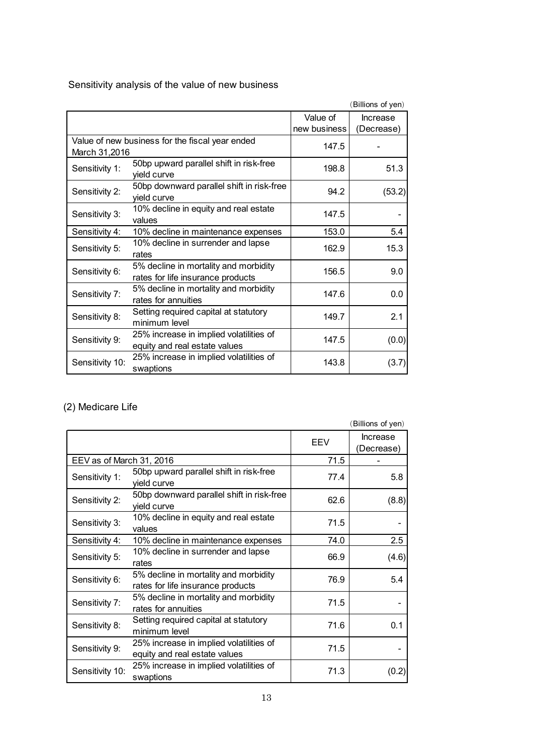Sensitivity analysis of the value of new business

|                 |                                                 |              | (Billions of yen) |
|-----------------|-------------------------------------------------|--------------|-------------------|
|                 |                                                 | Value of     | <b>Increase</b>   |
|                 |                                                 | new business | (Decrease)        |
|                 | Value of new business for the fiscal year ended | 147.5        |                   |
| March 31,2016   |                                                 |              |                   |
| Sensitivity 1:  | 50bp upward parallel shift in risk-free         | 198.8        | 51.3              |
|                 | yield curve                                     |              |                   |
|                 | 50bp downward parallel shift in risk-free       | 94.2         |                   |
| Sensitivity 2:  | yield curve                                     |              | (53.2)            |
|                 | 10% decline in equity and real estate           | 147.5        |                   |
| Sensitivity 3:  | values                                          |              |                   |
| Sensitivity 4:  | 10% decline in maintenance expenses             | 153.0        | 5.4               |
|                 | 10% decline in surrender and lapse              | 162.9        | 15.3              |
| Sensitivity 5:  | rates                                           |              |                   |
|                 | 5% decline in mortality and morbidity           |              |                   |
| Sensitivity 6:  | rates for life insurance products               | 156.5        | 9.0               |
|                 | 5% decline in mortality and morbidity           | 147.6        | 0.0               |
| Sensitivity 7:  | rates for annuities                             |              |                   |
|                 | Setting required capital at statutory           | 149.7        | 2.1               |
| Sensitivity 8:  | minimum level                                   |              |                   |
|                 | 25% increase in implied volatilities of         | 147.5        |                   |
| Sensitivity 9:  | equity and real estate values                   |              | (0.0)             |
|                 | 25% increase in implied volatilities of         |              |                   |
| Sensitivity 10: | swaptions                                       | 143.8        | (3.7)             |

# (2) Medicare Life

|                          |                                                                            |      | (Billions of yen)             |
|--------------------------|----------------------------------------------------------------------------|------|-------------------------------|
|                          |                                                                            | EEV  | <b>Increase</b><br>(Decrease) |
| EEV as of March 31, 2016 |                                                                            | 71.5 |                               |
| Sensitivity 1:           | 50bp upward parallel shift in risk-free<br>yield curve                     | 77.4 | 5.8                           |
| Sensitivity 2:           | 50bp downward parallel shift in risk-free<br>yield curve                   | 62.6 | (8.8)                         |
| Sensitivity 3:           | 10% decline in equity and real estate<br>values                            | 71.5 |                               |
| Sensitivity 4:           | 10% decline in maintenance expenses                                        | 74.0 | 2.5                           |
| Sensitivity 5:           | 10% decline in surrender and lapse<br>rates                                | 66.9 | (4.6)                         |
| Sensitivity 6:           | 5% decline in mortality and morbidity<br>rates for life insurance products | 76.9 | 5.4                           |
| Sensitivity 7:           | 5% decline in mortality and morbidity<br>rates for annuities               | 71.5 |                               |
| Sensitivity 8:           | Setting required capital at statutory<br>minimum level                     | 71.6 | 0.1                           |
| Sensitivity 9:           | 25% increase in implied volatilities of<br>equity and real estate values   | 71.5 |                               |
| Sensitivity 10:          | 25% increase in implied volatilities of<br>swaptions                       | 71.3 | (0.2)                         |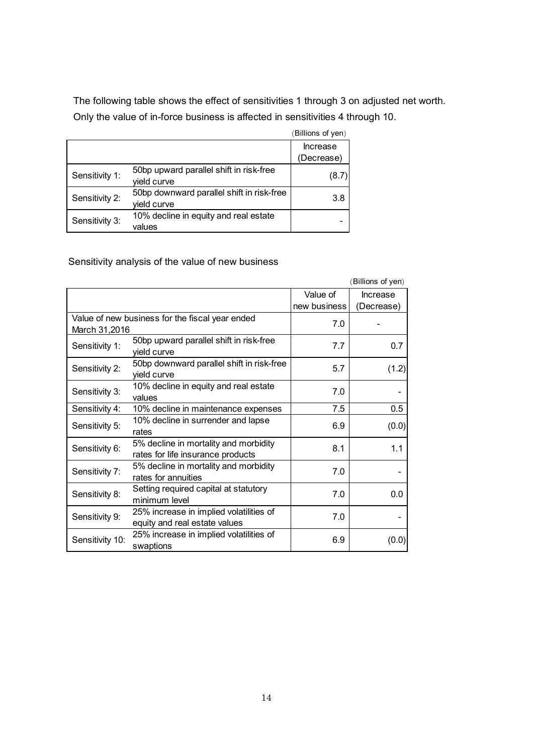The following table shows the effect of sensitivities 1 through 3 on adjusted net worth. Only the value of in-force business is affected in sensitivities 4 through 10.

|                |                                                          | (Billions of yen) |
|----------------|----------------------------------------------------------|-------------------|
|                |                                                          | Increase          |
|                |                                                          | (Decrease)        |
| Sensitivity 1: | 50bp upward parallel shift in risk-free<br>yield curve   | (8.7)             |
| Sensitivity 2: | 50bp downward parallel shift in risk-free<br>yield curve | 3.8               |
| Sensitivity 3: | 10% decline in equity and real estate<br>values          |                   |

# Sensitivity analysis of the value of new business

|                 |                                                                            |              | (Billions of yen) |
|-----------------|----------------------------------------------------------------------------|--------------|-------------------|
|                 |                                                                            | Value of     | <b>Increase</b>   |
|                 |                                                                            | new business | (Decrease)        |
|                 | Value of new business for the fiscal year ended                            | 7.0          |                   |
| March 31,2016   |                                                                            |              |                   |
| Sensitivity 1:  | 50bp upward parallel shift in risk-free<br>yield curve                     | 7.7          | 0.7               |
|                 | 50bp downward parallel shift in risk-free                                  |              |                   |
| Sensitivity 2:  | yield curve                                                                | 5.7          | (1.2)             |
| Sensitivity 3:  | 10% decline in equity and real estate<br>values                            | 7.0          |                   |
|                 |                                                                            |              |                   |
| Sensitivity 4:  | 10% decline in maintenance expenses                                        | 7.5          | 0.5               |
| Sensitivity 5:  | 10% decline in surrender and lapse<br>rates                                | 6.9          | (0.0)             |
| Sensitivity 6:  | 5% decline in mortality and morbidity<br>rates for life insurance products | 8.1          | 1.1               |
| Sensitivity 7:  | 5% decline in mortality and morbidity<br>rates for annuities               | 7.0          |                   |
| Sensitivity 8:  | Setting required capital at statutory<br>minimum level                     | 7.0          | 0.0               |
| Sensitivity 9:  | 25% increase in implied volatilities of<br>equity and real estate values   | 7.0          |                   |
| Sensitivity 10: | 25% increase in implied volatilities of<br>swaptions                       | 6.9          | (0.0)             |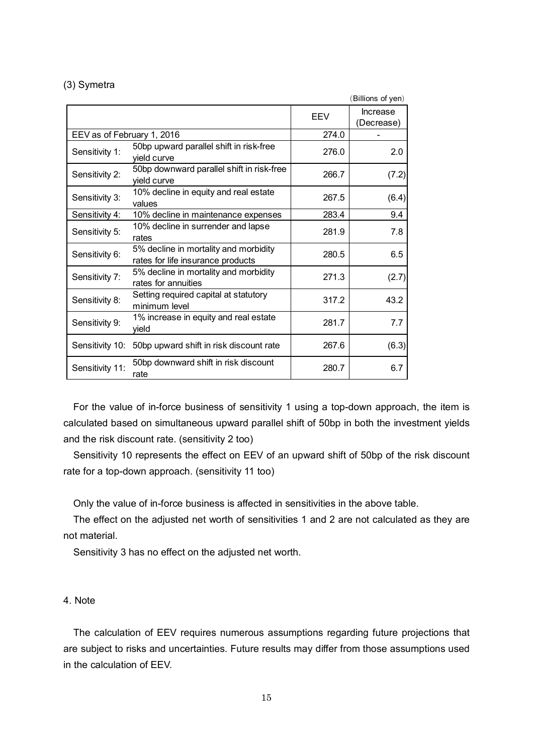### (3) Symetra

|                            |                                                                            |       | (Billions of yen)             |
|----------------------------|----------------------------------------------------------------------------|-------|-------------------------------|
|                            |                                                                            | EEV   | <b>Increase</b><br>(Decrease) |
| EEV as of February 1, 2016 |                                                                            | 274.0 |                               |
| Sensitivity 1:             | 50bp upward parallel shift in risk-free<br>yield curve                     | 276.0 | 2.0                           |
| Sensitivity 2:             | 50bp downward parallel shift in risk-free<br>yield curve                   | 266.7 | (7.2)                         |
| Sensitivity 3:             | 10% decline in equity and real estate<br>values                            | 267.5 | (6.4)                         |
| Sensitivity 4:             | 10% decline in maintenance expenses                                        | 283.4 | 9.4                           |
| Sensitivity 5:             | 10% decline in surrender and lapse<br>rates                                | 281.9 | 7.8                           |
| Sensitivity 6:             | 5% decline in mortality and morbidity<br>rates for life insurance products | 280.5 | 6.5                           |
| Sensitivity 7:             | 5% decline in mortality and morbidity<br>rates for annuities               | 271.3 | (2.7)                         |
| Sensitivity 8:             | Setting required capital at statutory<br>minimum level                     | 317.2 | 43.2                          |
| Sensitivity 9:             | 1% increase in equity and real estate<br>yield                             | 281.7 | 7.7                           |
| Sensitivity 10:            | 50bp upward shift in risk discount rate                                    | 267.6 | (6.3)                         |
| Sensitivity 11:            | 50bp downward shift in risk discount<br>rate                               | 280.7 | 6.7                           |

For the value of in-force business of sensitivity 1 using a top-down approach, the item is calculated based on simultaneous upward parallel shift of 50bp in both the investment yields and the risk discount rate. (sensitivity 2 too)

Sensitivity 10 represents the effect on EEV of an upward shift of 50bp of the risk discount rate for a top-down approach. (sensitivity 11 too)

Only the value of in-force business is affected in sensitivities in the above table.

The effect on the adjusted net worth of sensitivities 1 and 2 are not calculated as they are not material.

Sensitivity 3 has no effect on the adjusted net worth.

### 4. Note

The calculation of EEV requires numerous assumptions regarding future projections that are subject to risks and uncertainties. Future results may differ from those assumptions used in the calculation of EEV.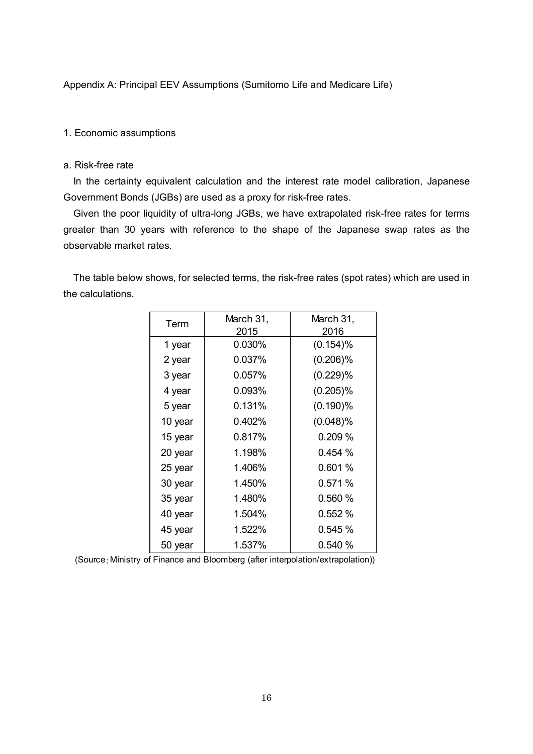Appendix A: Principal EEV Assumptions (Sumitomo Life and Medicare Life)

#### 1. Economic assumptions

#### a. Risk-free rate

In the certainty equivalent calculation and the interest rate model calibration, Japanese Government Bonds (JGBs) are used as a proxy for risk-free rates.

Given the poor liquidity of ultra-long JGBs, we have extrapolated risk-free rates for terms greater than 30 years with reference to the shape of the Japanese swap rates as the observable market rates.

The table below shows, for selected terms, the risk-free rates (spot rates) which are used in the calculations.

| Term    | March 31, | March 31,   |
|---------|-----------|-------------|
|         | 2015      | 2016        |
| 1 year  | 0.030%    | $(0.154)\%$ |
| 2 year  | 0.037%    | $(0.206)\%$ |
| 3 year  | 0.057%    | (0.229)%    |
| 4 year  | 0.093%    | $(0.205)\%$ |
| 5 year  | 0.131%    | $(0.190)\%$ |
| 10 year | 0.402%    | $(0.048)\%$ |
| 15 year | 0.817%    | 0.209 %     |
| 20 year | 1.198%    | 0.454%      |
| 25 year | 1.406%    | 0.601 %     |
| 30 year | 1.450%    | 0.571%      |
| 35 year | 1.480%    | 0.560 %     |
| 40 year | 1.504%    | 0.552%      |
| 45 year | 1.522%    | 0.545%      |
| 50 year | 1.537%    | 0.540 %     |

(Source:Ministry of Finance and Bloomberg (after interpolation/extrapolation))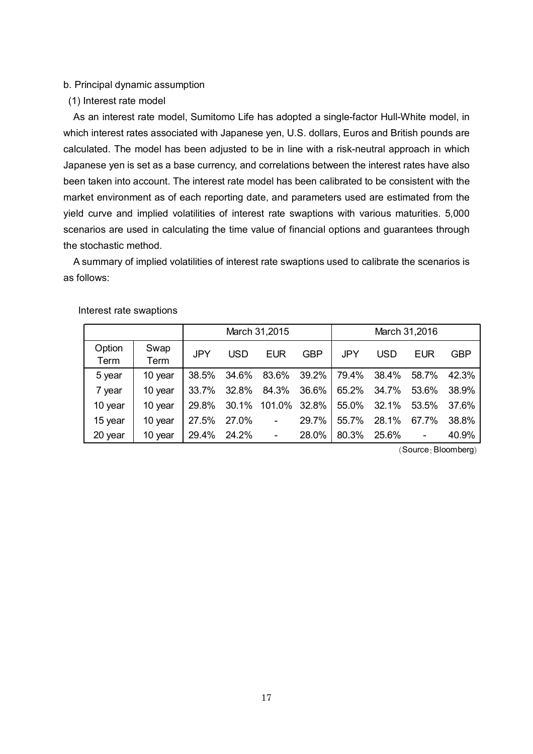#### b. Principal dynamic assumption

(1) Interest rate model

As an interest rate model, Sumitomo Life has adopted a single-factor Hull-White model, in which interest rates associated with Japanese yen, U.S. dollars, Euros and British pounds are calculated. The model has been adjusted to be in line with a risk-neutral approach in which Japanese yen is set as a base currency, and correlations between the interest rates have also been taken into account. The interest rate model has been calibrated to be consistent with the market environment as of each reporting date, and parameters used are estimated from the yield curve and implied volatilities of interest rate swaptions with various maturities. 5,000 scenarios are used in calculating the time value of financial options and guarantees through the stochastic method.

A summary of implied volatilities of interest rate swaptions used to calibrate the scenarios is as follows:

|                |              |            |            | March 31,2015            |            |            |            | March 31,2016            |       |
|----------------|--------------|------------|------------|--------------------------|------------|------------|------------|--------------------------|-------|
| Option<br>Term | Swap<br>Term | <b>JPY</b> | <b>USD</b> | <b>EUR</b>               | <b>GBP</b> | <b>JPY</b> | <b>USD</b> | <b>EUR</b>               | GBP   |
| 5 year         | 10 year      | 38.5%      | 34.6%      | 83.6%                    | 39.2%      | 79.4%      | 38.4%      | 58.7%                    | 42.3% |
| 7 year         | 10 year      | 33.7%      | 32.8%      | 84.3%                    | 36.6%      | 65.2%      | 34.7%      | 53.6%                    | 38.9% |
| 10 year        | 10 year      | 29.8%      | 30.1%      | 101.0%                   | 32.8%      | 55.0%      | 32.1%      | 53.5%                    | 37.6% |
| 15 year        | 10 year      | 27.5%      | 27.0%      | $\overline{\phantom{a}}$ | 29.7%      | 55.7%      | 28.1%      | 67.7%                    | 38.8% |
| 20 year        | 10 year      | 29.4%      | 24.2%      | $\overline{\phantom{a}}$ | 28.0%      | 80.3%      | 25.6%      | $\overline{\phantom{a}}$ | 40.9% |

Interest rate swaptions

(Source: Bloomberg)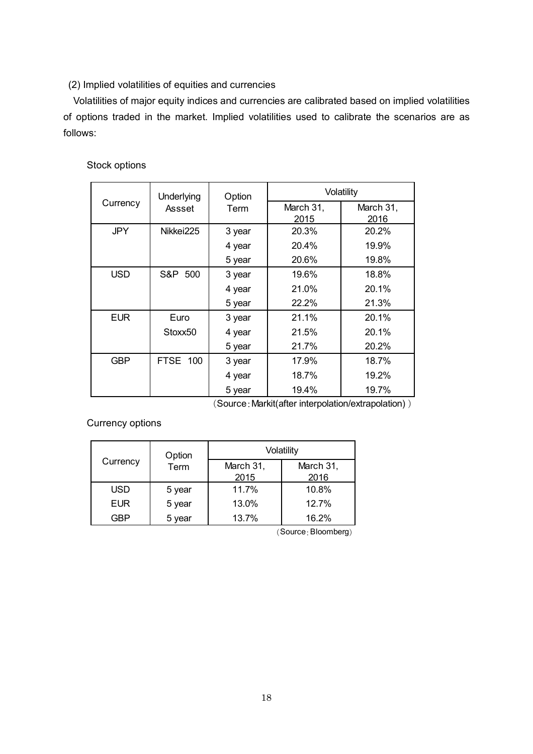### (2) Implied volatilities of equities and currencies

Volatilities of major equity indices and currencies are calibrated based on implied volatilities of options traded in the market. Implied volatilities used to calibrate the scenarios are as follows:

### Stock options

|            | Underlying      | Option |                   | Volatility        |
|------------|-----------------|--------|-------------------|-------------------|
| Currency   | Assset          | Term   | March 31,<br>2015 | March 31,<br>2016 |
| <b>JPY</b> | Nikkei225       | 3 year | 20.3%             | 20.2%             |
|            |                 | 4 year | 20.4%             | 19.9%             |
|            |                 | 5 year | 20.6%             | 19.8%             |
| <b>USD</b> | S&P<br>500      | 3 year | 19.6%             | 18.8%             |
|            |                 | 4 year | 21.0%             | 20.1%             |
|            |                 | 5 year | 22.2%             | 21.3%             |
| <b>EUR</b> | Euro            | 3 year | 21.1%             | 20.1%             |
|            | Stoxx50         | 4 year | 21.5%             | 20.1%             |
|            |                 | 5 year | 21.7%             | 20.2%             |
| <b>GBP</b> | <b>FTSE 100</b> | 3 year | 17.9%             | 18.7%             |
|            |                 | 4 year | 18.7%             | 19.2%             |
|            |                 | 5 year | 19.4%             | 19.7%             |

(Source:Markit(after interpolation/extrapolation) )

Currency options

|            | Option |           | Volatility |
|------------|--------|-----------|------------|
| Currency   | Term   | March 31, | March 31,  |
|            |        | 2015      | 2016       |
| <b>USD</b> | 5 year | 11.7%     | 10.8%      |
| <b>EUR</b> | 5 year | 13.0%     | 12.7%      |
| GBP        | 5 year | 13.7%     | 16.2%      |

(Source:Bloomberg)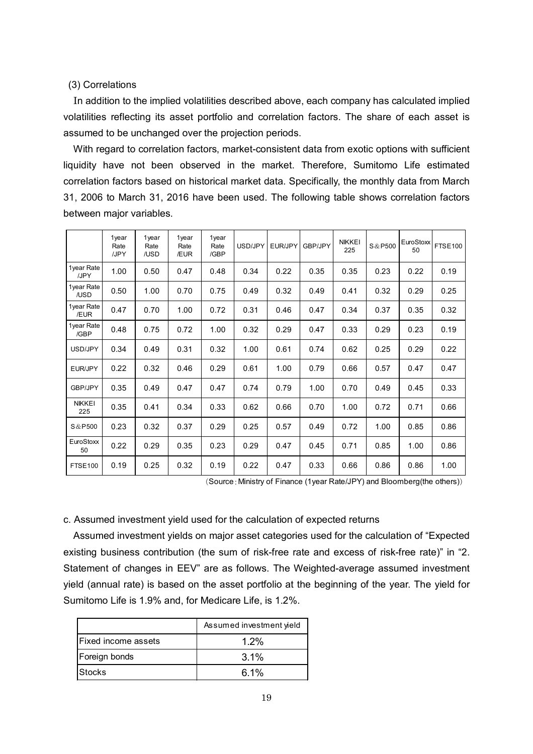### (3) Correlations

In addition to the implied volatilities described above, each company has calculated implied volatilities reflecting its asset portfolio and correlation factors. The share of each asset is assumed to be unchanged over the projection periods.

With regard to correlation factors, market-consistent data from exotic options with sufficient liquidity have not been observed in the market. Therefore, Sumitomo Life estimated correlation factors based on historical market data. Specifically, the monthly data from March 31, 2006 to March 31, 2016 have been used. The following table shows correlation factors between major variables.

|                      | 1year<br>Rate<br>/JPY | 1year<br>Rate<br>/USD | 1year<br>Rate<br>/EUR | 1year<br>Rate<br>/GBP | USD/JPY | EUR/JPY | <b>GBP/JPY</b> | <b>NIKKEI</b><br>225 | S & P500 | EuroStoxx<br>50 | <b>FTSE100</b> |
|----------------------|-----------------------|-----------------------|-----------------------|-----------------------|---------|---------|----------------|----------------------|----------|-----------------|----------------|
| 1 vear Rate<br>/JPY  | 1.00                  | 0.50                  | 0.47                  | 0.48                  | 0.34    | 0.22    | 0.35           | 0.35                 | 0.23     | 0.22            | 0.19           |
| 1year Rate<br>/USD   | 0.50                  | 1.00                  | 0.70                  | 0.75                  | 0.49    | 0.32    | 0.49           | 0.41                 | 0.32     | 0.29            | 0.25           |
| 1year Rate<br>/EUR   | 0.47                  | 0.70                  | 1.00                  | 0.72                  | 0.31    | 0.46    | 0.47           | 0.34                 | 0.37     | 0.35            | 0.32           |
| 1year Rate<br>/GBP   | 0.48                  | 0.75                  | 0.72                  | 1.00                  | 0.32    | 0.29    | 0.47           | 0.33                 | 0.29     | 0.23            | 0.19           |
| USD/JPY              | 0.34                  | 0.49                  | 0.31                  | 0.32                  | 1.00    | 0.61    | 0.74           | 0.62                 | 0.25     | 0.29            | 0.22           |
| EUR/JPY              | 0.22                  | 0.32                  | 0.46                  | 0.29                  | 0.61    | 1.00    | 0.79           | 0.66                 | 0.57     | 0.47            | 0.47           |
| GBP/JPY              | 0.35                  | 0.49                  | 0.47                  | 0.47                  | 0.74    | 0.79    | 1.00           | 0.70                 | 0.49     | 0.45            | 0.33           |
| <b>NIKKEI</b><br>225 | 0.35                  | 0.41                  | 0.34                  | 0.33                  | 0.62    | 0.66    | 0.70           | 1.00                 | 0.72     | 0.71            | 0.66           |
| S & P 500            | 0.23                  | 0.32                  | 0.37                  | 0.29                  | 0.25    | 0.57    | 0.49           | 0.72                 | 1.00     | 0.85            | 0.86           |
| EuroStoxx<br>50      | 0.22                  | 0.29                  | 0.35                  | 0.23                  | 0.29    | 0.47    | 0.45           | 0.71                 | 0.85     | 1.00            | 0.86           |
| FTSE100              | 0.19                  | 0.25                  | 0.32                  | 0.19                  | 0.22    | 0.47    | 0.33           | 0.66                 | 0.86     | 0.86            | 1.00           |

(Source:Ministry of Finance (1year Rate/JPY) and Bloomberg(the others))

### c. Assumed investment yield used for the calculation of expected returns

Assumed investment yields on major asset categories used for the calculation of "Expected existing business contribution (the sum of risk-free rate and excess of risk-free rate)" in "2. Statement of changes in EEV" are as follows. The Weighted-average assumed investment yield (annual rate) is based on the asset portfolio at the beginning of the year. The yield for Sumitomo Life is 1.9% and, for Medicare Life, is 1.2%.

|                            | Assumed investment yield |
|----------------------------|--------------------------|
| <b>Fixed income assets</b> | $1.2\%$                  |
| Foreign bonds              | $3.1\%$                  |
| IStocks                    | 61%                      |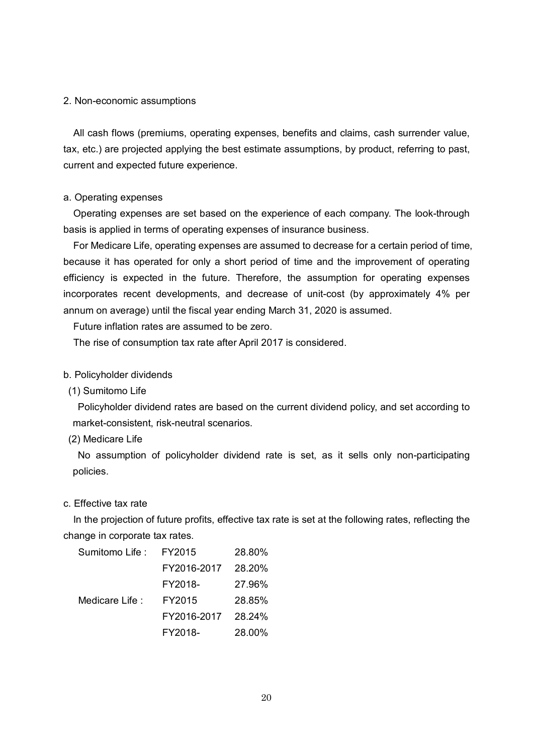#### 2. Non-economic assumptions

All cash flows (premiums, operating expenses, benefits and claims, cash surrender value, tax, etc.) are projected applying the best estimate assumptions, by product, referring to past, current and expected future experience.

#### a. Operating expenses

Operating expenses are set based on the experience of each company. The look-through basis is applied in terms of operating expenses of insurance business.

For Medicare Life, operating expenses are assumed to decrease for a certain period of time, because it has operated for only a short period of time and the improvement of operating efficiency is expected in the future. Therefore, the assumption for operating expenses incorporates recent developments, and decrease of unit-cost (by approximately 4% per annum on average) until the fiscal year ending March 31, 2020 is assumed.

Future inflation rates are assumed to be zero.

The rise of consumption tax rate after April 2017 is considered.

#### b. Policyholder dividends

(1) Sumitomo Life

Policyholder dividend rates are based on the current dividend policy, and set according to market-consistent, risk-neutral scenarios.

(2) Medicare Life

No assumption of policyholder dividend rate is set, as it sells only non-participating policies.

#### c. Effective tax rate

In the projection of future profits, effective tax rate is set at the following rates, reflecting the change in corporate tax rates.

| Sumitomo Life : | FY2015      | 28.80% |
|-----------------|-------------|--------|
|                 | FY2016-2017 | 28.20% |
|                 | FY2018-     | 27.96% |
| Medicare Life:  | FY2015      | 28.85% |
|                 | FY2016-2017 | 28.24% |
|                 | FY2018-     | 28.00% |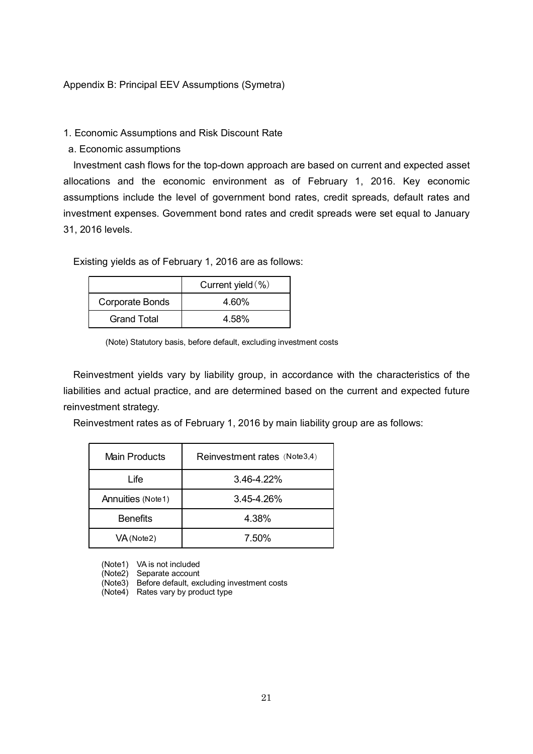### Appendix B: Principal EEV Assumptions (Symetra)

### 1. Economic Assumptions and Risk Discount Rate

a. Economic assumptions

Investment cash flows for the top-down approach are based on current and expected asset allocations and the economic environment as of February 1, 2016. Key economic assumptions include the level of government bond rates, credit spreads, default rates and investment expenses. Government bond rates and credit spreads were set equal to January 31, 2016 levels.

Existing yields as of February 1, 2016 are as follows:

|                        | Current yield $(\% )$ |
|------------------------|-----------------------|
| <b>Corporate Bonds</b> | 4.60%                 |
| Grand Total            | 4.58%                 |

(Note) Statutory basis, before default, excluding investment costs

Reinvestment yields vary by liability group, in accordance with the characteristics of the liabilities and actual practice, and are determined based on the current and expected future reinvestment strategy.

Reinvestment rates as of February 1, 2016 by main liability group are as follows:

| Main Products     | Reinvestment rates (Note3,4) |
|-------------------|------------------------------|
| Life              | $3.46 - 4.22%$               |
| Annuities (Note1) | 3.45-4.26%                   |
| <b>Benefits</b>   | 4.38%                        |
| VA (Note2)        | 7.50%                        |

(Note1) VA is not included

(Note2) Separate account

(Note3) Before default, excluding investment costs

(Note4) Rates vary by product type